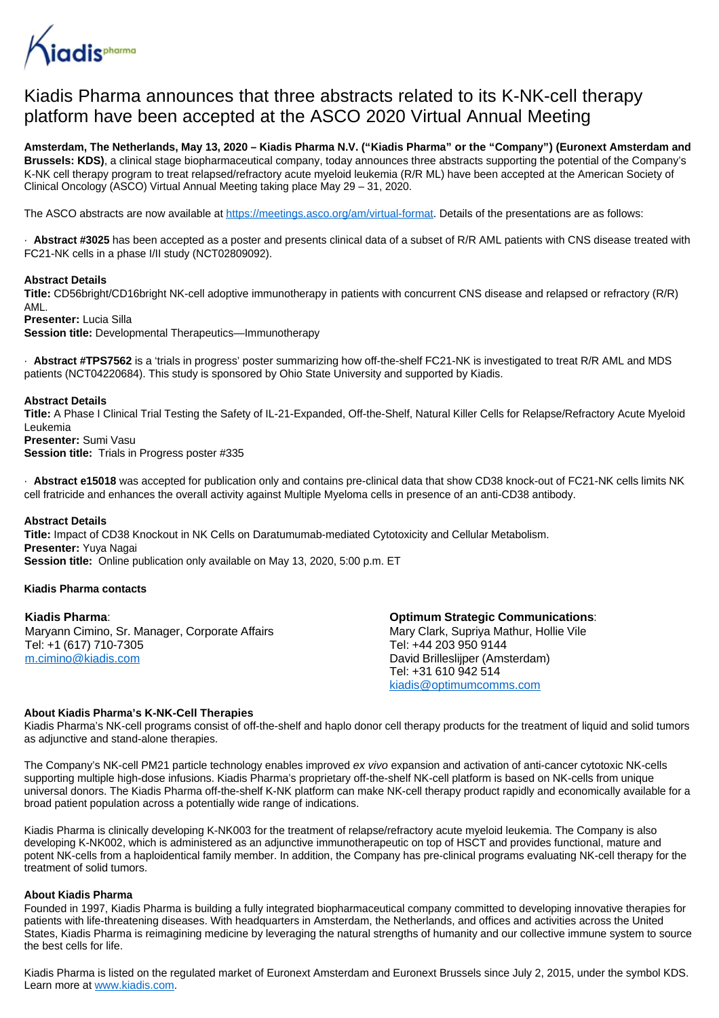

# Kiadis Pharma announces that three abstracts related to its K-NK-cell therapy platform have been accepted at the ASCO 2020 Virtual Annual Meeting

**Amsterdam, The Netherlands, May 13, 2020 – Kiadis Pharma N.V. ("Kiadis Pharma" or the "Company") (Euronext Amsterdam and Brussels: KDS)**, a clinical stage biopharmaceutical company, today announces three abstracts supporting the potential of the Company's K-NK cell therapy program to treat relapsed/refractory acute myeloid leukemia (R/R ML) have been accepted at the American Society of Clinical Oncology (ASCO) Virtual Annual Meeting taking place May 29 – 31, 2020.

The ASCO abstracts are now available at [https://meetings.asco.org/am/virtual-format.](https://meetings.asco.org/am/virtual-format) Details of the presentations are as follows:

· **Abstract #3025** has been accepted as a poster and presents clinical data of a subset of R/R AML patients with CNS disease treated with FC21-NK cells in a phase I/II study (NCT02809092).

#### **Abstract Details**

**Title:** CD56bright/CD16bright NK-cell adoptive immunotherapy in patients with concurrent CNS disease and relapsed or refractory (R/R) AML.

**Presenter:** Lucia Silla

**Session title:** Developmental Therapeutics—Immunotherapy

· **Abstract #TPS7562** is a 'trials in progress' poster summarizing how off-the-shelf FC21-NK is investigated to treat R/R AML and MDS patients (NCT04220684). This study is sponsored by Ohio State University and supported by Kiadis.

#### **Abstract Details**

**Title:** A Phase I Clinical Trial Testing the Safety of IL-21-Expanded, Off-the-Shelf, Natural Killer Cells for Relapse/Refractory Acute Myeloid Leukemia

**Presenter:** Sumi Vasu **Session title:** Trials in Progress poster #335

· **Abstract e15018** was accepted for publication only and contains pre-clinical data that show CD38 knock-out of FC21-NK cells limits NK cell fratricide and enhances the overall activity against Multiple Myeloma cells in presence of an anti-CD38 antibody.

#### **Abstract Details**

**Title:** Impact of CD38 Knockout in NK Cells on Daratumumab-mediated Cytotoxicity and Cellular Metabolism. **Presenter:** Yuya Nagai **Session title:** Online publication only available on May 13, 2020, 5:00 p.m. ET

#### **Kiadis Pharma contacts**

#### **Kiadis Pharma**:

Maryann Cimino, Sr. Manager, Corporate Affairs Tel: +1 (617) 710-7305 [m.cimino@kiadis.com](mailto:m.cimino@kiadis.com)

**Optimum Strategic Communications**: Mary Clark, Supriya Mathur, Hollie Vile Tel: +44 203 950 9144 David Brilleslijper (Amsterdam) Tel: +31 610 942 514 [kiadis@optimumcomms.com](mailto:kiadis@optimumcomms.com)

#### **About Kiadis Pharma's K-NK-Cell Therapies**

Kiadis Pharma's NK-cell programs consist of off-the-shelf and haplo donor cell therapy products for the treatment of liquid and solid tumors as adjunctive and stand-alone therapies.

The Company's NK-cell PM21 particle technology enables improved ex vivo expansion and activation of anti-cancer cytotoxic NK-cells supporting multiple high-dose infusions. Kiadis Pharma's proprietary off-the-shelf NK-cell platform is based on NK-cells from unique universal donors. The Kiadis Pharma off-the-shelf K-NK platform can make NK-cell therapy product rapidly and economically available for a broad patient population across a potentially wide range of indications.

Kiadis Pharma is clinically developing K-NK003 for the treatment of relapse/refractory acute myeloid leukemia. The Company is also developing K-NK002, which is administered as an adjunctive immunotherapeutic on top of HSCT and provides functional, mature and potent NK-cells from a haploidentical family member. In addition, the Company has pre-clinical programs evaluating NK-cell therapy for the treatment of solid tumors.

#### **About Kiadis Pharma**

Founded in 1997, Kiadis Pharma is building a fully integrated biopharmaceutical company committed to developing innovative therapies for patients with life-threatening diseases. With headquarters in Amsterdam, the Netherlands, and offices and activities across the United States, Kiadis Pharma is reimagining medicine by leveraging the natural strengths of humanity and our collective immune system to source the best cells for life.

Kiadis Pharma is listed on the regulated market of Euronext Amsterdam and Euronext Brussels since July 2, 2015, under the symbol KDS. Learn more at [www.kiadis.com](http://www.kiadis.com/).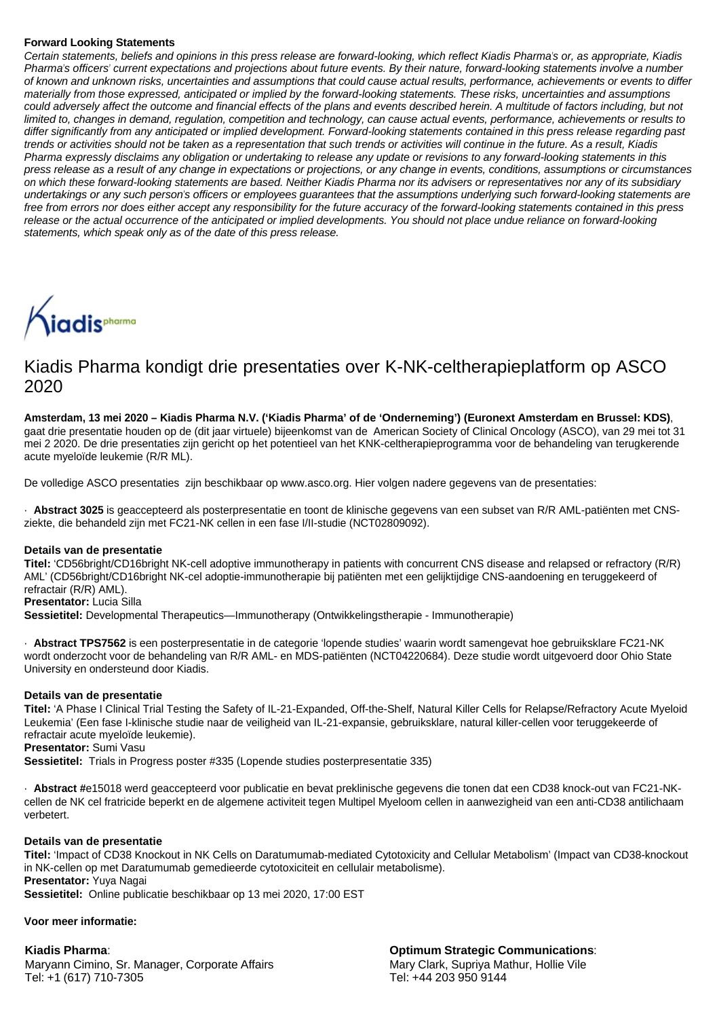### **Forward Looking Statements**

Certain statements, beliefs and opinions in this press release are forward-looking, which reflect Kiadis Pharma's or, as appropriate, Kiadis Pharma's officers' current expectations and projections about future events. By their nature, forward-looking statements involve a number of known and unknown risks, uncertainties and assumptions that could cause actual results, performance, achievements or events to differ materially from those expressed, anticipated or implied by the forward-looking statements. These risks, uncertainties and assumptions could adversely affect the outcome and financial effects of the plans and events described herein. A multitude of factors including, but not limited to, changes in demand, regulation, competition and technology, can cause actual events, performance, achievements or results to differ significantly from any anticipated or implied development. Forward-looking statements contained in this press release regarding past trends or activities should not be taken as a representation that such trends or activities will continue in the future. As a result, Kiadis Pharma expressly disclaims any obligation or undertaking to release any update or revisions to any forward-looking statements in this press release as a result of any change in expectations or projections, or any change in events, conditions, assumptions or circumstances on which these forward-looking statements are based. Neither Kiadis Pharma nor its advisers or representatives nor any of its subsidiary undertakings or any such person's officers or employees guarantees that the assumptions underlying such forward-looking statements are free from errors nor does either accept any responsibility for the future accuracy of the forward-looking statements contained in this press release or the actual occurrence of the anticipated or implied developments. You should not place undue reliance on forward-looking statements, which speak only as of the date of this press release.



# Kiadis Pharma kondigt drie presentaties over K-NK-celtherapieplatform op ASCO 2020

**Amsterdam, 13 mei 2020 – Kiadis Pharma N.V. ('Kiadis Pharma' of de 'Onderneming') (Euronext Amsterdam en Brussel: KDS)**, gaat drie presentatie houden op de (dit jaar virtuele) bijeenkomst van de American Society of Clinical Oncology (ASCO), van 29 mei tot 31 mei 2 2020. De drie presentaties zijn gericht op het potentieel van het KNK-celtherapieprogramma voor de behandeling van terugkerende acute myeloïde leukemie (R/R ML).

De volledige ASCO presentaties zijn beschikbaar op www.asco.org. Hier volgen nadere gegevens van de presentaties:

· **Abstract 3025** is geaccepteerd als posterpresentatie en toont de klinische gegevens van een subset van R/R AML-patiënten met CNSziekte, die behandeld zijn met FC21-NK cellen in een fase I/II-studie (NCT02809092).

#### **Details van de presentatie**

**Titel:** 'CD56bright/CD16bright NK-cell adoptive immunotherapy in patients with concurrent CNS disease and relapsed or refractory (R/R) AML' (CD56bright/CD16bright NK-cel adoptie-immunotherapie bij patiënten met een gelijktijdige CNS-aandoening en teruggekeerd of refractair (R/R) AML). **Presentator:** Lucia Silla

**Sessietitel:** Developmental Therapeutics—Immunotherapy (Ontwikkelingstherapie - Immunotherapie)

· **Abstract TPS7562** is een posterpresentatie in de categorie 'lopende studies' waarin wordt samengevat hoe gebruiksklare FC21-NK wordt onderzocht voor de behandeling van R/R AML- en MDS-patiënten (NCT04220684). Deze studie wordt uitgevoerd door Ohio State University en ondersteund door Kiadis.

#### **Details van de presentatie**

**Titel:** 'A Phase I Clinical Trial Testing the Safety of IL-21-Expanded, Off-the-Shelf, Natural Killer Cells for Relapse/Refractory Acute Myeloid Leukemia' (Een fase I-klinische studie naar de veiligheid van IL-21-expansie, gebruiksklare, natural killer-cellen voor teruggekeerde of refractair acute myeloïde leukemie).

# **Presentator:** Sumi Vasu

**Sessietitel:** Trials in Progress poster #335 (Lopende studies posterpresentatie 335)

· **Abstract #**e15018 werd geaccepteerd voor publicatie en bevat preklinische gegevens die tonen dat een CD38 knock-out van FC21-NKcellen de NK cel fratricide beperkt en de algemene activiteit tegen Multipel Myeloom cellen in aanwezigheid van een anti-CD38 antilichaam verbetert.

## **Details van de presentatie**

**Titel:** 'Impact of CD38 Knockout in NK Cells on Daratumumab-mediated Cytotoxicity and Cellular Metabolism' (Impact van CD38-knockout in NK-cellen op met Daratumumab gemedieerde cytotoxiciteit en cellulair metabolisme). **Presentator:** Yuya Nagai

**Sessietitel:** Online publicatie beschikbaar op 13 mei 2020, 17:00 EST

## **Voor meer informatie:**

**Kiadis Pharma**: Maryann Cimino, Sr. Manager, Corporate Affairs [Tel: +1 \(617\) 710-7305](mailto:m.cimino@kiadis.com)

**Optimum Strategic Communications**: Mary Clark, Supriya Mathur, Hollie Vile Tel: +44 203 950 9144